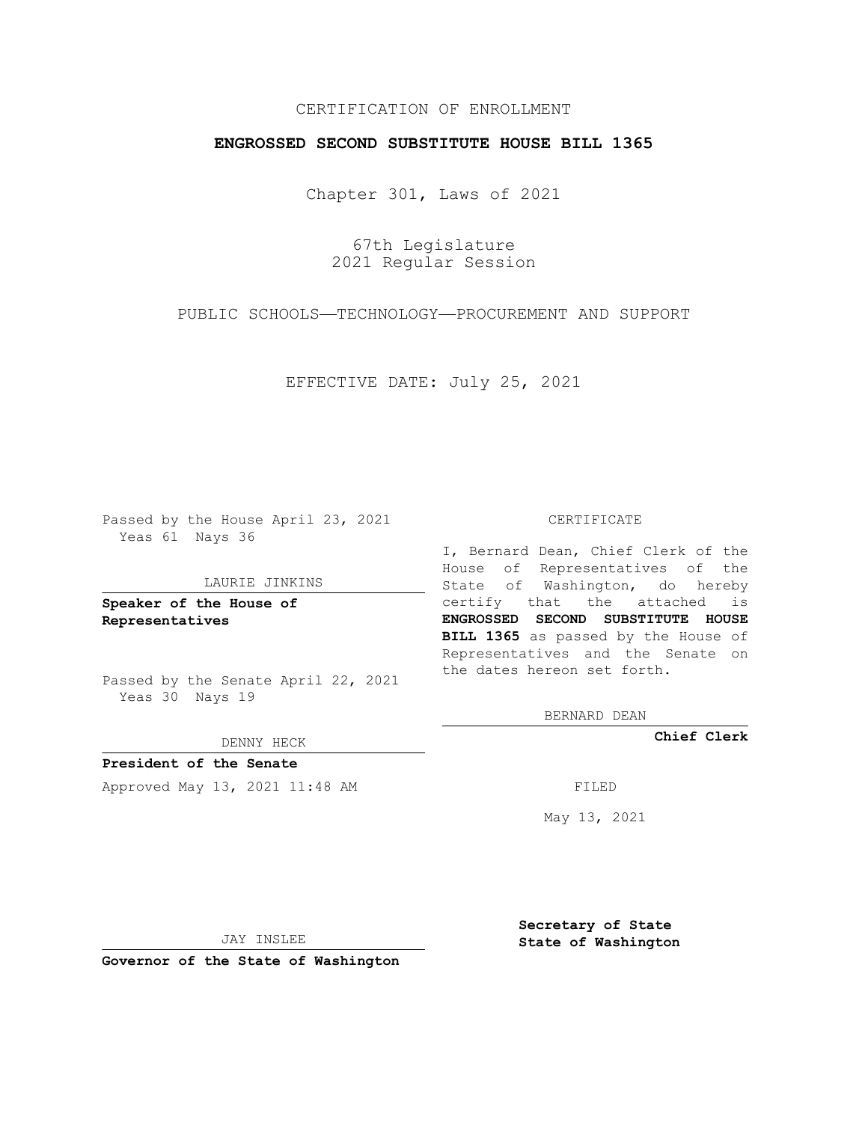## CERTIFICATION OF ENROLLMENT

## **ENGROSSED SECOND SUBSTITUTE HOUSE BILL 1365**

Chapter 301, Laws of 2021

67th Legislature 2021 Regular Session

PUBLIC SCHOOLS—TECHNOLOGY—PROCUREMENT AND SUPPORT

EFFECTIVE DATE: July 25, 2021

Passed by the House April 23, 2021 Yeas 61 Nays 36

### LAURIE JINKINS

**Speaker of the House of Representatives**

Passed by the Senate April 22, 2021 Yeas 30 Nays 19

DENNY HECK

**President of the Senate** Approved May 13, 2021 11:48 AM FILED

#### CERTIFICATE

I, Bernard Dean, Chief Clerk of the House of Representatives of the State of Washington, do hereby certify that the attached is **ENGROSSED SECOND SUBSTITUTE HOUSE BILL 1365** as passed by the House of Representatives and the Senate on the dates hereon set forth.

BERNARD DEAN

**Chief Clerk**

May 13, 2021

JAY INSLEE

**Governor of the State of Washington**

**Secretary of State State of Washington**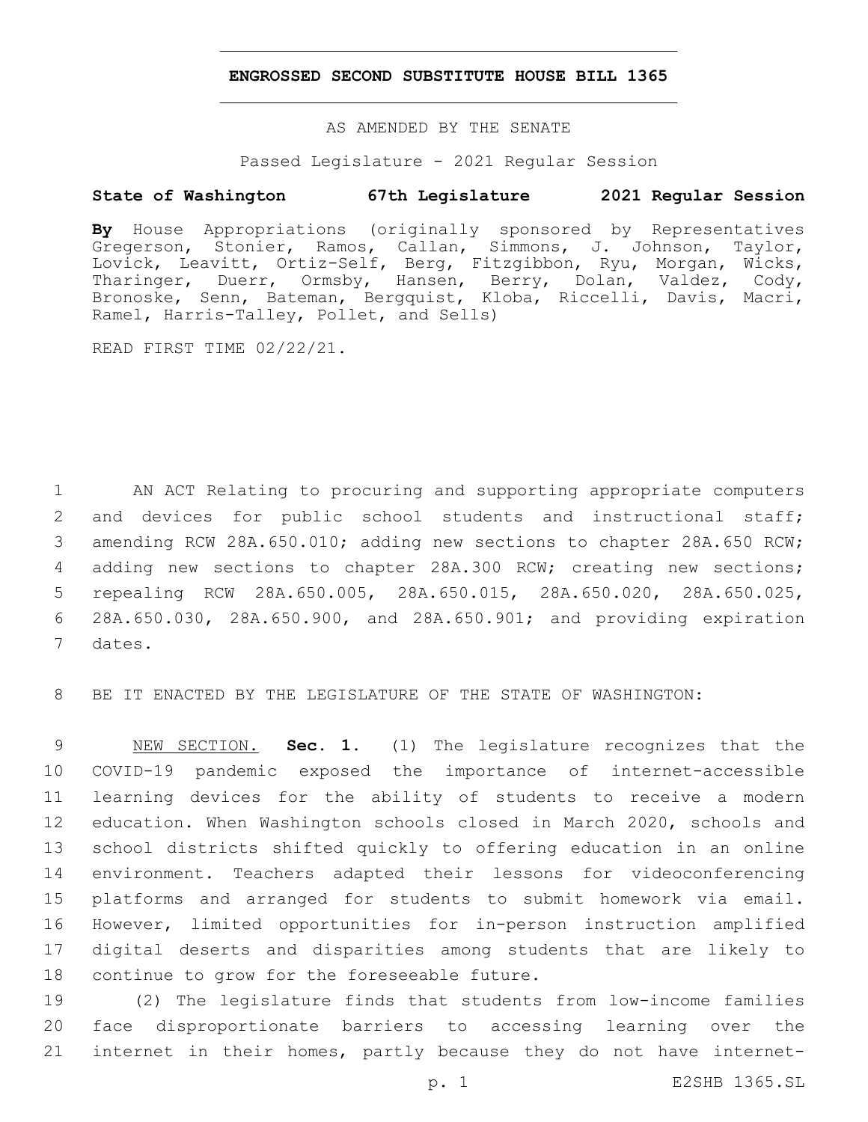## **ENGROSSED SECOND SUBSTITUTE HOUSE BILL 1365**

AS AMENDED BY THE SENATE

Passed Legislature - 2021 Regular Session

# **State of Washington 67th Legislature 2021 Regular Session**

**By** House Appropriations (originally sponsored by Representatives Gregerson, Stonier, Ramos, Callan, Simmons, J. Johnson, Taylor, Lovick, Leavitt, Ortiz-Self, Berg, Fitzgibbon, Ryu, Morgan, Wicks, Tharinger, Duerr, Ormsby, Hansen, Berry, Dolan, Valdez, Cody, Bronoske, Senn, Bateman, Bergquist, Kloba, Riccelli, Davis, Macri, Ramel, Harris-Talley, Pollet, and Sells)

READ FIRST TIME 02/22/21.

 AN ACT Relating to procuring and supporting appropriate computers 2 and devices for public school students and instructional staff; amending RCW 28A.650.010; adding new sections to chapter 28A.650 RCW; adding new sections to chapter 28A.300 RCW; creating new sections; repealing RCW 28A.650.005, 28A.650.015, 28A.650.020, 28A.650.025, 28A.650.030, 28A.650.900, and 28A.650.901; and providing expiration 7 dates.

8 BE IT ENACTED BY THE LEGISLATURE OF THE STATE OF WASHINGTON:

 NEW SECTION. **Sec. 1.** (1) The legislature recognizes that the COVID-19 pandemic exposed the importance of internet-accessible learning devices for the ability of students to receive a modern education. When Washington schools closed in March 2020, schools and school districts shifted quickly to offering education in an online environment. Teachers adapted their lessons for videoconferencing platforms and arranged for students to submit homework via email. However, limited opportunities for in-person instruction amplified digital deserts and disparities among students that are likely to continue to grow for the foreseeable future.

19 (2) The legislature finds that students from low-income families 20 face disproportionate barriers to accessing learning over the 21 internet in their homes, partly because they do not have internet-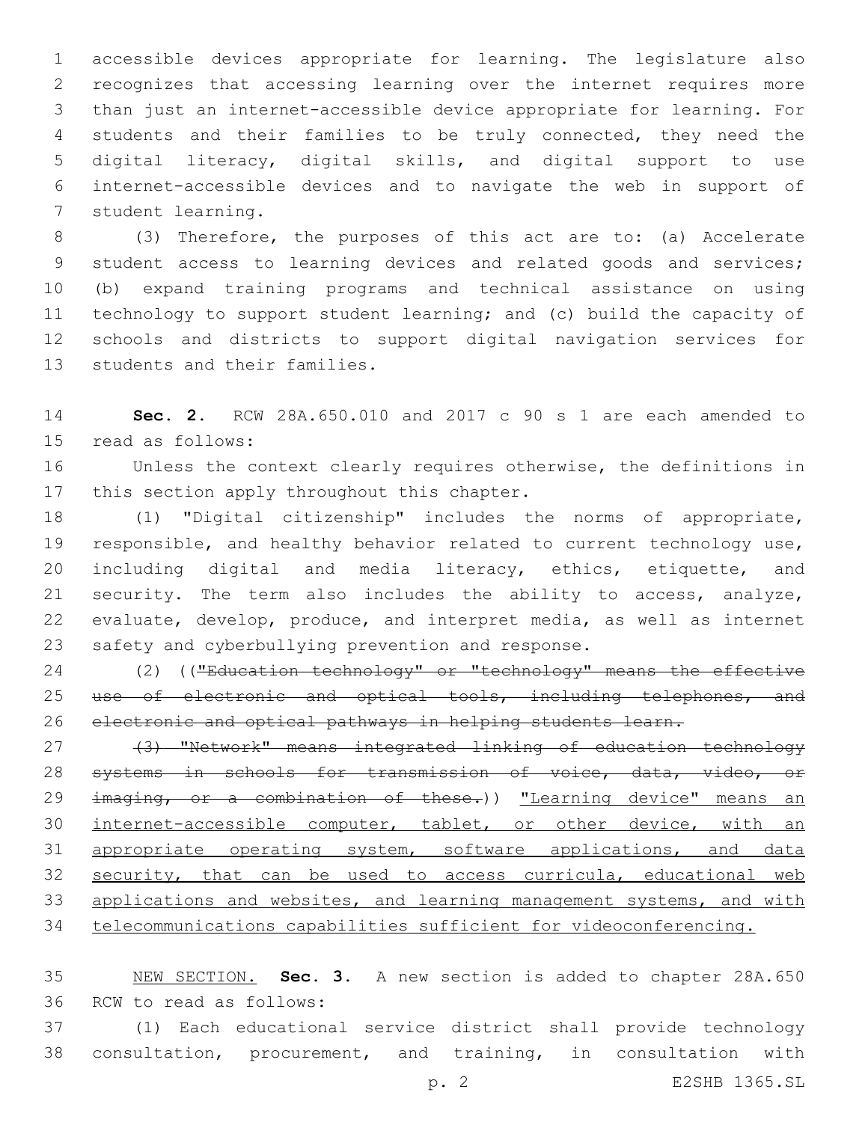accessible devices appropriate for learning. The legislature also recognizes that accessing learning over the internet requires more than just an internet-accessible device appropriate for learning. For students and their families to be truly connected, they need the digital literacy, digital skills, and digital support to use internet-accessible devices and to navigate the web in support of 7 student learning.

 (3) Therefore, the purposes of this act are to: (a) Accelerate student access to learning devices and related goods and services; (b) expand training programs and technical assistance on using technology to support student learning; and (c) build the capacity of schools and districts to support digital navigation services for 13 students and their families.

 **Sec. 2.** RCW 28A.650.010 and 2017 c 90 s 1 are each amended to 15 read as follows:

 Unless the context clearly requires otherwise, the definitions in 17 this section apply throughout this chapter.

 (1) "Digital citizenship" includes the norms of appropriate, responsible, and healthy behavior related to current technology use, including digital and media literacy, ethics, etiquette, and security. The term also includes the ability to access, analyze, evaluate, develop, produce, and interpret media, as well as internet 23 safety and cyberbullying prevention and response.

24 (2) (("Education technology" or "technology" means the effective 25 use of electronic and optical tools, including telephones, and electronic and optical pathways in helping students learn.

 (3) "Network" means integrated linking of education technology systems in schools for transmission of voice, data, video, or 29 imaging, or a combination of these.)) "Learning device" means an internet-accessible computer, tablet, or other device, with an 31 appropriate operating system, software applications, and data 32 security, that can be used to access curricula, educational web 33 applications and websites, and learning management systems, and with telecommunications capabilities sufficient for videoconferencing.

 NEW SECTION. **Sec. 3.** A new section is added to chapter 28A.650 36 RCW to read as follows:

 (1) Each educational service district shall provide technology consultation, procurement, and training, in consultation with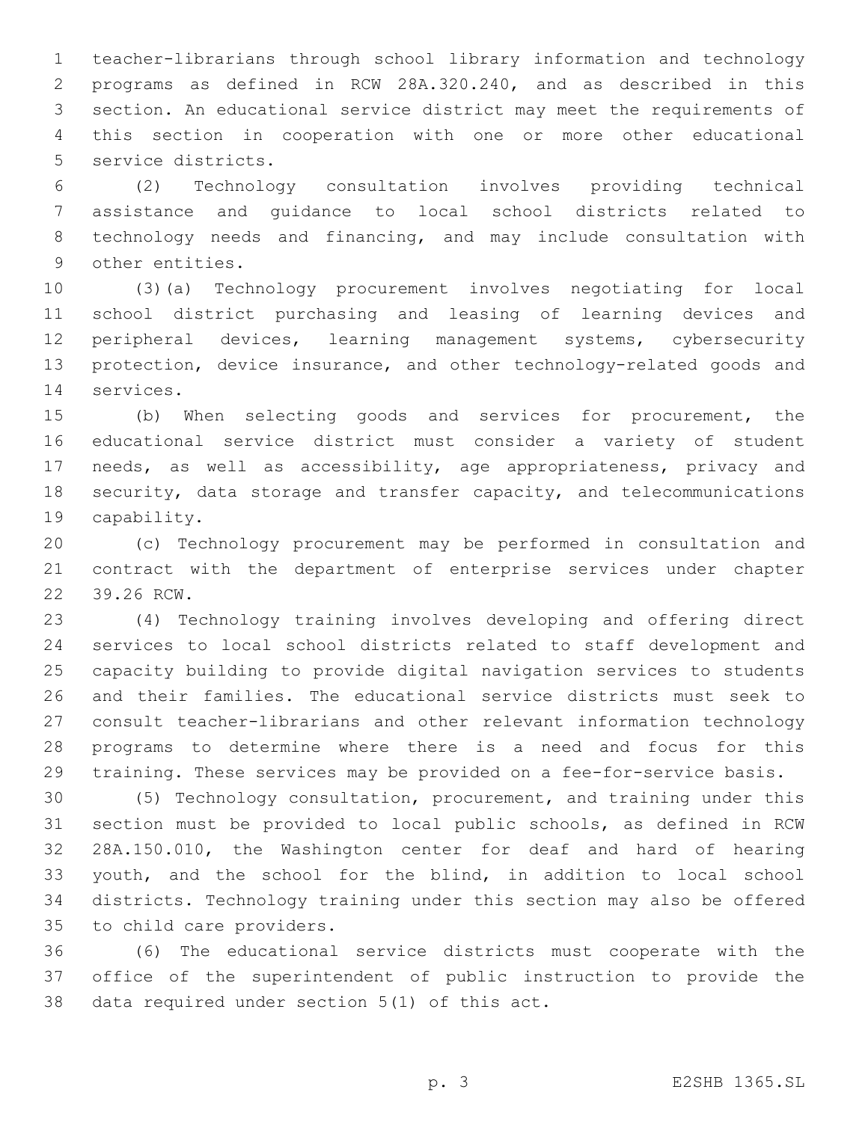teacher-librarians through school library information and technology programs as defined in RCW 28A.320.240, and as described in this section. An educational service district may meet the requirements of this section in cooperation with one or more other educational 5 service districts.

 (2) Technology consultation involves providing technical assistance and guidance to local school districts related to technology needs and financing, and may include consultation with 9 other entities.

 (3)(a) Technology procurement involves negotiating for local school district purchasing and leasing of learning devices and peripheral devices, learning management systems, cybersecurity protection, device insurance, and other technology-related goods and 14 services.

 (b) When selecting goods and services for procurement, the educational service district must consider a variety of student needs, as well as accessibility, age appropriateness, privacy and security, data storage and transfer capacity, and telecommunications 19 capability.

 (c) Technology procurement may be performed in consultation and contract with the department of enterprise services under chapter 22 39.26 RCW.

 (4) Technology training involves developing and offering direct services to local school districts related to staff development and capacity building to provide digital navigation services to students and their families. The educational service districts must seek to consult teacher-librarians and other relevant information technology programs to determine where there is a need and focus for this training. These services may be provided on a fee-for-service basis.

 (5) Technology consultation, procurement, and training under this section must be provided to local public schools, as defined in RCW 28A.150.010, the Washington center for deaf and hard of hearing youth, and the school for the blind, in addition to local school districts. Technology training under this section may also be offered 35 to child care providers.

 (6) The educational service districts must cooperate with the office of the superintendent of public instruction to provide the 38 data required under section  $5(1)$  of this act.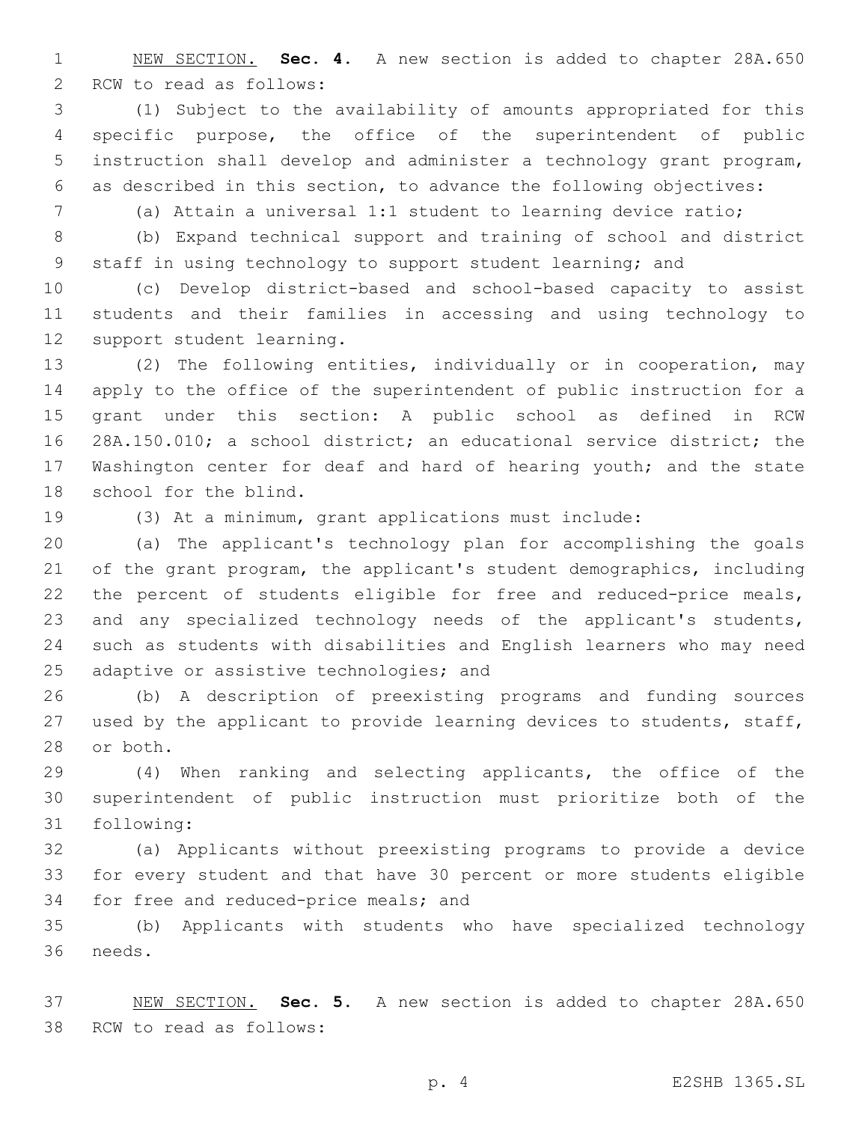NEW SECTION. **Sec. 4.** A new section is added to chapter 28A.650 2 RCW to read as follows:

 (1) Subject to the availability of amounts appropriated for this specific purpose, the office of the superintendent of public instruction shall develop and administer a technology grant program, as described in this section, to advance the following objectives:

(a) Attain a universal 1:1 student to learning device ratio;

 (b) Expand technical support and training of school and district staff in using technology to support student learning; and

 (c) Develop district-based and school-based capacity to assist students and their families in accessing and using technology to 12 support student learning.

 (2) The following entities, individually or in cooperation, may apply to the office of the superintendent of public instruction for a grant under this section: A public school as defined in RCW 28A.150.010; a school district; an educational service district; the Washington center for deaf and hard of hearing youth; and the state 18 school for the blind.

(3) At a minimum, grant applications must include:

 (a) The applicant's technology plan for accomplishing the goals of the grant program, the applicant's student demographics, including 22 the percent of students eligible for free and reduced-price meals, and any specialized technology needs of the applicant's students, such as students with disabilities and English learners who may need 25 adaptive or assistive technologies; and

 (b) A description of preexisting programs and funding sources used by the applicant to provide learning devices to students, staff, 28 or both.

 (4) When ranking and selecting applicants, the office of the superintendent of public instruction must prioritize both of the 31 following:

 (a) Applicants without preexisting programs to provide a device for every student and that have 30 percent or more students eligible 34 for free and reduced-price meals; and

 (b) Applicants with students who have specialized technology 36 needs.

 NEW SECTION. **Sec. 5.** A new section is added to chapter 28A.650 38 RCW to read as follows: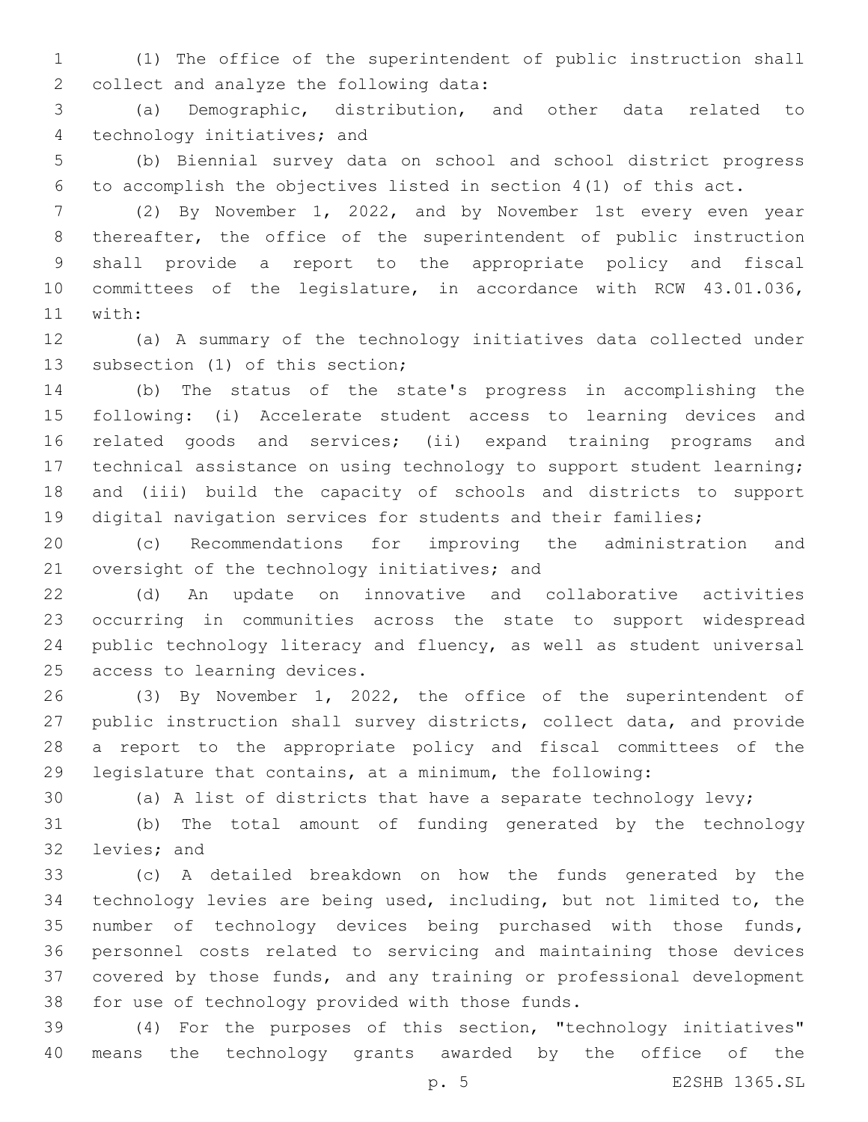(1) The office of the superintendent of public instruction shall 2 collect and analyze the following data:

 (a) Demographic, distribution, and other data related to 4 technology initiatives; and

 (b) Biennial survey data on school and school district progress to accomplish the objectives listed in section 4(1) of this act.

 (2) By November 1, 2022, and by November 1st every even year 8 thereafter, the office of the superintendent of public instruction shall provide a report to the appropriate policy and fiscal committees of the legislature, in accordance with RCW 43.01.036, 11 with:

 (a) A summary of the technology initiatives data collected under 13 subsection (1) of this section;

 (b) The status of the state's progress in accomplishing the following: (i) Accelerate student access to learning devices and related goods and services; (ii) expand training programs and technical assistance on using technology to support student learning; and (iii) build the capacity of schools and districts to support digital navigation services for students and their families;

 (c) Recommendations for improving the administration and 21 oversight of the technology initiatives; and

 (d) An update on innovative and collaborative activities occurring in communities across the state to support widespread public technology literacy and fluency, as well as student universal 25 access to learning devices.

 (3) By November 1, 2022, the office of the superintendent of public instruction shall survey districts, collect data, and provide a report to the appropriate policy and fiscal committees of the legislature that contains, at a minimum, the following:

(a) A list of districts that have a separate technology levy;

 (b) The total amount of funding generated by the technology 32 levies; and

 (c) A detailed breakdown on how the funds generated by the technology levies are being used, including, but not limited to, the number of technology devices being purchased with those funds, personnel costs related to servicing and maintaining those devices covered by those funds, and any training or professional development 38 for use of technology provided with those funds.

 (4) For the purposes of this section, "technology initiatives" means the technology grants awarded by the office of the

p. 5 E2SHB 1365.SL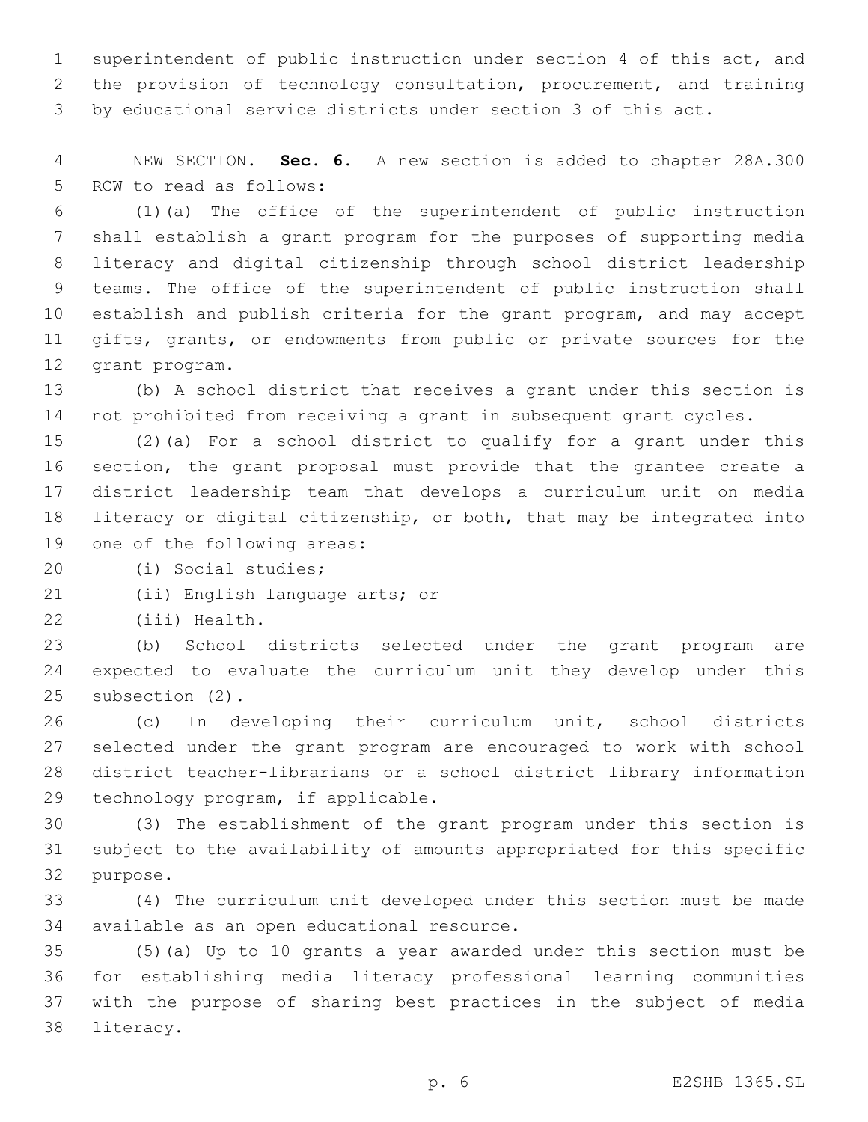superintendent of public instruction under section 4 of this act, and the provision of technology consultation, procurement, and training by educational service districts under section 3 of this act.

 NEW SECTION. **Sec. 6.** A new section is added to chapter 28A.300 5 RCW to read as follows:

 (1)(a) The office of the superintendent of public instruction shall establish a grant program for the purposes of supporting media literacy and digital citizenship through school district leadership teams. The office of the superintendent of public instruction shall establish and publish criteria for the grant program, and may accept gifts, grants, or endowments from public or private sources for the 12 grant program.

 (b) A school district that receives a grant under this section is not prohibited from receiving a grant in subsequent grant cycles.

 (2)(a) For a school district to qualify for a grant under this section, the grant proposal must provide that the grantee create a district leadership team that develops a curriculum unit on media literacy or digital citizenship, or both, that may be integrated into 19 one of the following areas:

(i) Social studies;20

21 (ii) English language arts; or

22 (iii) Health.

 (b) School districts selected under the grant program are expected to evaluate the curriculum unit they develop under this 25 subsection (2).

 (c) In developing their curriculum unit, school districts selected under the grant program are encouraged to work with school district teacher-librarians or a school district library information 29 technology program, if applicable.

 (3) The establishment of the grant program under this section is subject to the availability of amounts appropriated for this specific 32 purpose.

 (4) The curriculum unit developed under this section must be made 34 available as an open educational resource.

 (5)(a) Up to 10 grants a year awarded under this section must be for establishing media literacy professional learning communities with the purpose of sharing best practices in the subject of media 38 literacy.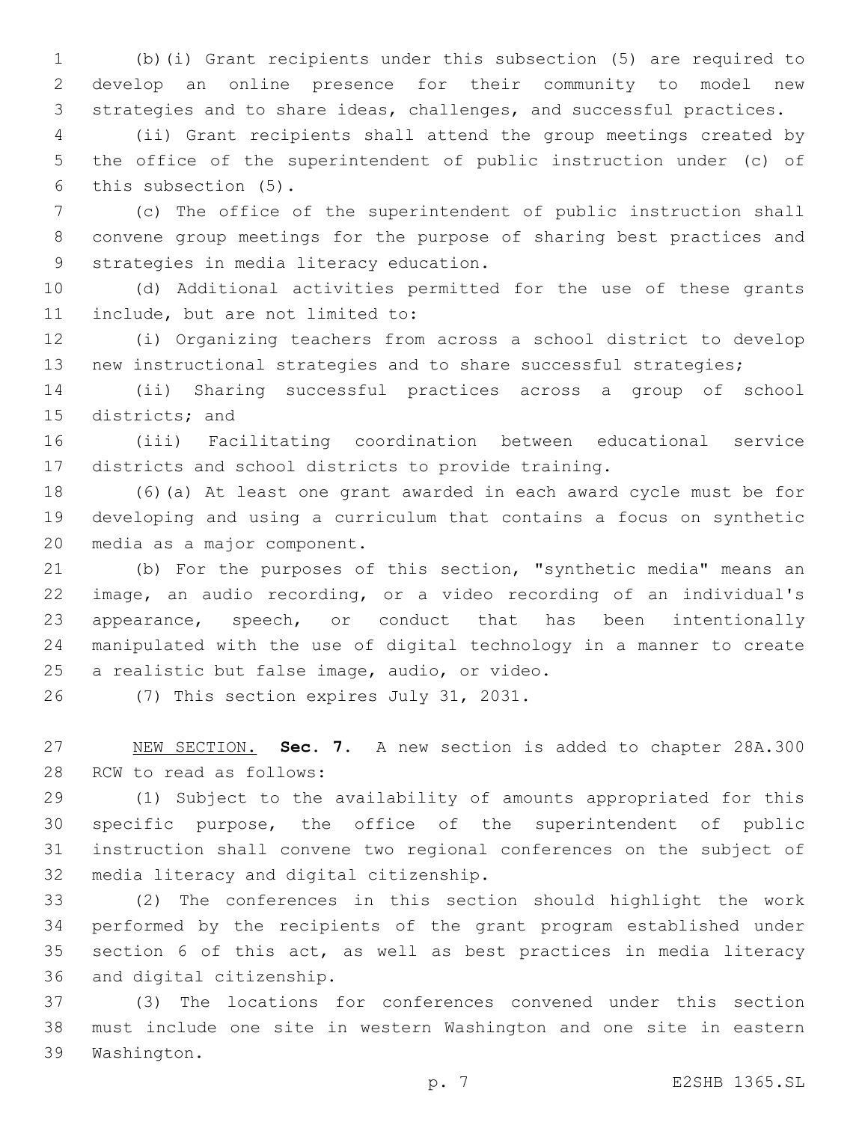(b)(i) Grant recipients under this subsection (5) are required to develop an online presence for their community to model new strategies and to share ideas, challenges, and successful practices.

 (ii) Grant recipients shall attend the group meetings created by the office of the superintendent of public instruction under (c) of 6 this subsection (5).

 (c) The office of the superintendent of public instruction shall convene group meetings for the purpose of sharing best practices and 9 strategies in media literacy education.

 (d) Additional activities permitted for the use of these grants 11 include, but are not limited to:

 (i) Organizing teachers from across a school district to develop new instructional strategies and to share successful strategies;

 (ii) Sharing successful practices across a group of school 15 districts; and

 (iii) Facilitating coordination between educational service districts and school districts to provide training.

 (6)(a) At least one grant awarded in each award cycle must be for developing and using a curriculum that contains a focus on synthetic 20 media as a major component.

 (b) For the purposes of this section, "synthetic media" means an image, an audio recording, or a video recording of an individual's appearance, speech, or conduct that has been intentionally manipulated with the use of digital technology in a manner to create 25 a realistic but false image, audio, or video.

26 (7) This section expires July 31, 2031.

 NEW SECTION. **Sec. 7.** A new section is added to chapter 28A.300 28 RCW to read as follows:

 (1) Subject to the availability of amounts appropriated for this specific purpose, the office of the superintendent of public instruction shall convene two regional conferences on the subject of 32 media literacy and digital citizenship.

 (2) The conferences in this section should highlight the work performed by the recipients of the grant program established under section 6 of this act, as well as best practices in media literacy 36 and digital citizenship.

 (3) The locations for conferences convened under this section must include one site in western Washington and one site in eastern 39 Washington.